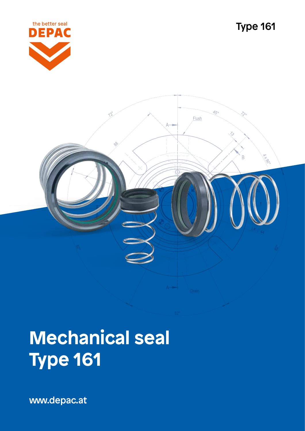

Type 161

# Flush Ŕ

# **Mechanical seal Type 161**

www.depac.at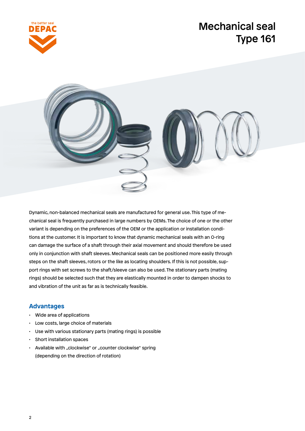

## Mechanical seal Type 161



Dynamic, non-balanced mechanical seals are manufactured for general use. This type of mechanical seal is frequently purchased in large numbers by OEMs. The choice of one or the other variant is depending on the preferences of the OEM or the application or installation conditions at the customer. It is important to know that dynamic mechanical seals with an O-ring can damage the surface of a shaft through their axial movement and should therefore be used only in conjunction with shaft sleeves. Mechanical seals can be positioned more easily through steps on the shaft sleeves, rotors or the like as locating shoulders. If this is not possible, support rings with set screws to the shaft/sleeve can also be used. The stationary parts (mating rings) should be selected such that they are elastically mounted in order to dampen shocks to and vibration of the unit as far as is technically feasible.

### **Advantages**

- Wide area of applications
- Low costs, large choice of materials
- Use with various stationary parts (mating rings) is possible
- Short installation spaces
- Available with "clockwise" or "counter clockwise" spring (depending on the direction of rotation)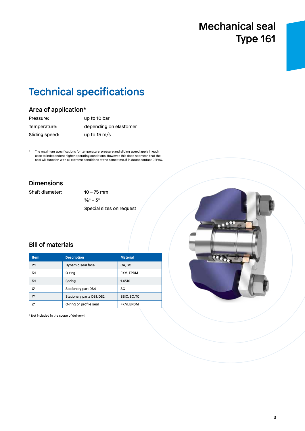# Mechanical seal Type 161

# Technical specifications

### Area of application\*

| Pressure:      | up to 10 bar           |
|----------------|------------------------|
| Temperature:   | depending on elastomer |
| Sliding speed: | up to $15 \text{ m/s}$ |

The maximum specifications for temperature, pressure and sliding speed apply in each case to independent higher operating conditions. However, this does not mean that the seal will function with all extreme conditions at the same time. If in doubt contact DEPAC.

### Dimensions

Shaft diameter: 10 – 75 mm

 $5/8" - 3"$ Special sizes on request

### Bill of materials

| <b>Item</b> | <b>Description</b>        | <b>Material</b> |
|-------------|---------------------------|-----------------|
| 2.1         | Dynamic seal face         | CA.SC           |
| 3.1         | O-ring                    | FKM, EPDM       |
| 5.1         | Spring                    | 1.4310          |
| X*          | Stationary part DS4       | SC              |
| $V^*$       | Stationary parts DS1, DS2 | SSIC, SC, TC    |
| $7*$        | O-ring or profile seal    | FKM. EPDM       |

\* Not included in the scope of delivery!

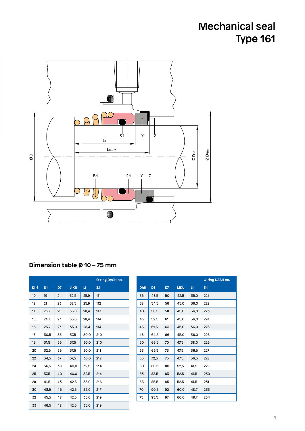# Mechanical seal Type 161



### **Dimension table Ø 10 – 75 mm**

|                 |                |    |             |      | O-ring DASH no. |
|-----------------|----------------|----|-------------|------|-----------------|
| Dh <sub>6</sub> | D <sub>1</sub> | D7 | <b>L1KU</b> | L1   | 3.1             |
| 10              | 19             | 21 | 32,5        | 25,9 | 111             |
| 12              | 21             | 23 | 32,5        | 25,9 | 112             |
| 14              | 23,7           | 25 | 35,0        | 28,4 | 113             |
| 15              | 24,7           | 27 | 35,0        | 28,4 | 114             |
| 16              | 25,7           | 27 | 35,0        | 28,4 | 114             |
| 18              | 30,5           | 33 | 37,5        | 30,0 | 210             |
| 19              | 31,5           | 35 | 37,5        | 30,0 | 210             |
| 20              | 32,5           | 35 | 37,5        | 30,0 | 211             |
| 22              | 34,5           | 37 | 37,5        | 30,0 | 212             |
| 24              | 36,5           | 39 | 40,0        | 32,5 | 214             |
| 25              | 37,5           | 40 | 40,0        | 32,5 | 214             |
| 28              | 41,5           | 43 | 42,5        | 35,0 | 216             |
| 30              | 43,5           | 45 | 42,5        | 35,0 | 217             |
| 32              | 45,5           | 48 | 42,5        | 35,0 | 219             |
| 33              | 46,5           | 48 | 42,5        | 35,0 | 219             |

|                 |                |    |             |      | O-ring DASH no. |
|-----------------|----------------|----|-------------|------|-----------------|
| Dh <sub>6</sub> | D <sub>1</sub> | D7 | <b>L1KU</b> | L1   | 3.1             |
| 35              | 48,5           | 50 | 42,5        | 35,0 | 221             |
| 38              | 54.5           | 56 | 45,0        | 36,0 | 222             |
| 40              | 56.5           | 58 | 45,0        | 36,0 | 223             |
| 43              | 59.5           | 61 | 45.0        | 36,0 | 224             |
| 45              | 61.5           | 63 | 45,0        | 36,0 | 225             |
| 48              | 64,5           | 66 | 45,0        | 36,0 | 226             |
| 50              | 66,5           | 70 | 47,5        | 38,0 | 226             |
| 53              | 69,5           | 73 | 47,5        | 36,5 | 227             |
| 55              | 72,5           | 75 | 47,5        | 36,5 | 228             |
| 60              | 80,5           | 80 | 52,5        | 41,5 | 229             |
| 63              | 83,5           | 83 | 52,5        | 41,5 | 230             |
| 65              | 85,5           | 85 | 52,5        | 41.5 | 231             |
| 70              | 90,5           | 92 | 60,0        | 48,7 | 233             |
| 75              | 95.5           | 97 | 60,0        | 48.7 | 234             |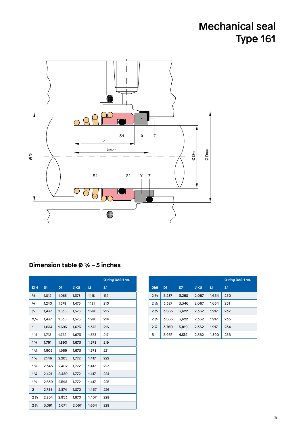# Mechanical seal Type 161



### **Dimension table Ø ⅝ – 3 inches**

|                               |                |       |             |       | O-ring DASH no. |
|-------------------------------|----------------|-------|-------------|-------|-----------------|
| Dh <sub>6</sub>               | D <sub>1</sub> | D7    | <b>L1KU</b> | L1    | 3.1             |
| $\frac{5}{8}$                 | 1,012          | 1,063 | 1,378       | 1,118 | 114             |
| $\frac{3}{4}$                 | 1.240          | 1,378 | 1.476       | 1,181 | 210             |
| $\frac{7}{8}$                 | 1,437          | 1,535 | 1,575       | 1,280 | 213             |
| 15/16                         | 1.437          | 1.535 | 1.575       | 1,280 | 214             |
| 1                             | 1,634          | 1,693 | 1,673       | 1,378 | 215             |
| $1\frac{1}{8}$                | 1,713          | 1,772 | 1,673       | 1,378 | 217             |
| $1\frac{1}{4}$                | 1,791          | 1,890 | 1,673       | 1,378 | 219             |
| $1\frac{3}{8}$                | 1.909          | 1.969 | 1.673       | 1.378 | 221             |
| $1\frac{1}{2}$                | 2,146          | 2,205 | 1,772       | 1,417 | 222             |
| $1\frac{5}{8}$                | 2.343          | 2,402 | 1,772       | 1,417 | 223             |
| 13/4                          | 2.421          | 2,480 | 1,772       | 1,417 | 224             |
| $1\frac{7}{8}$                | 2,539          | 2,598 | 1,772       | 1,417 | 225             |
| $\overline{2}$                | 2,736          | 2,874 | 1,870       | 1,437 | 226             |
| 2 <sub>1/8</sub>              | 2,854          | 2,953 | 1,870       | 1,437 | 228             |
| 2 <sup>1</sup> / <sub>4</sub> | 3,091          | 3,071 | 2,067       | 1,634 | 229             |

|                               |                |       |             |              | O-ring DASH no. |
|-------------------------------|----------------|-------|-------------|--------------|-----------------|
| Dh <sub>6</sub>               | D <sub>1</sub> | D7    | <b>L1KU</b> | $\mathbf{H}$ | 3.1             |
| $2\frac{3}{8}$                | 3.287          | 3.268 | 2.067       | 1.634        | 230             |
| 2 <sub>2</sub>                | 3.327          | 3.346 | 2.067       | 1.634        | 231             |
| $2\frac{5}{8}$                | 3.563          | 3.622 | 2.362       | 1.917        | 232             |
| 2 <sup>3</sup> / <sub>4</sub> | 3.563          | 3.622 | 2.362       | 1.917        | 233             |
| $2\frac{7}{8}$                | 3.760          | 3.819 | 2.362       | 1.917        | 234             |
| 3                             | 3.957          | 4.134 | 2.362       | 1.890        | 235             |